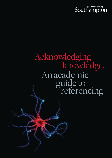# An academic referencing guide to Acknowledging<br>knowledge.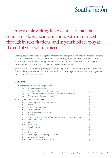### In academic writing it is essential to state the sources of ideas and information, both in your text, through in-text citations, and in your bibliography at the end of your written piece.

In this guide, we shall work through the processes and rulings that comprise the Modern Humanities Research Association (MHRA) citation rules. As a result, you will be able to write correct in-text citations and create corresponding references for bibliographies, relating to a wide range of resources, including print, multi-media and electronic resources.

Please note that MHRA is only one type of referencing system. There are many others in use, and different books and journals you read may use these instead. If you are in doubt of which system to use, check with your supervisor.

#### **Contents**

| 1              | What are references and bibliographies? |                                                               |   |
|----------------|-----------------------------------------|---------------------------------------------------------------|---|
|                | 1.1                                     | Why are they needed?                                          | 4 |
|                | 1.2                                     | When should you include references?                           | 4 |
|                | 1.3                                     | What information is needed for citation and referencing?      | 4 |
|                | 1.4                                     | Where is the information found?                               | 4 |
| $\overline{2}$ | Using the MHRA citation rules           |                                                               |   |
|                | 2.1                                     | Paper, digital and electronic resources                       | 5 |
|                | 2.2                                     | <b>Books</b>                                                  | 5 |
|                | 2.3                                     | Chapters in edited volume                                     | 6 |
|                | 2.4                                     | Journal articles                                              | 6 |
|                |                                         | 2.5 Newspapers and magazines                                  | 6 |
|                | 2.6                                     | Websites                                                      |   |
|                | 2.7                                     | Government, corporate and non-government organisation reports |   |
|                |                                         | 2.8 Online databases                                          |   |
|                |                                         | 2.9 Speeches                                                  |   |
|                |                                         | 2.10 Interviews                                               | 8 |
|                |                                         | 2.11 Visual sources                                           | 8 |
|                |                                         | <b>2.12</b> Films                                             | 9 |
|                | 2.13                                    | Broadcasts                                                    | 9 |
|                |                                         | <b>2.14</b> Recordings, music and digital media               | 9 |
|                |                                         | 2.15 Archive collections                                      | 9 |
|                | 2.16                                    | Sources with more than one author                             | 9 |
|                |                                         |                                                               |   |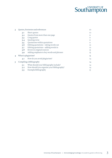| 3              |                          | Quotes, footnotes and references           | 10 |  |
|----------------|--------------------------|--------------------------------------------|----|--|
|                | 3.1                      | Short quotes                               | 10 |  |
|                | 3.2                      | Quotes from more than one page             | 11 |  |
|                | 3.3                      | Long quotes                                | 11 |  |
|                | 3.4                      | Quoting verse                              | 11 |  |
|                | 3.5                      | Quotations within quotations               | 11 |  |
|                | 3.6                      | Editing quotations – taking words out      | 12 |  |
|                | 3.7                      | Editing quotations – adding words in       | 12 |  |
|                | 3.8                      | Errors in original sources                 | 13 |  |
|                | 3.9                      | Adding emphasis to key words and phrases   | 13 |  |
| $\overline{4}$ | What is plagiarism?      |                                            | 13 |  |
|                | 4.1                      | How do you avoid plagiarism?               | 14 |  |
| 5              | Compiling a bibliography |                                            | 14 |  |
|                | 5.1                      | What should your bibliography include?     | 14 |  |
|                | 5.2                      | How should you organise your bibliography? | 14 |  |
|                | 5.3                      | Exempla bibliography                       | 15 |  |
|                |                          |                                            |    |  |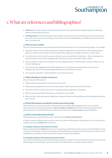### 1. What are references and bibliographies?

- • **References** are used to credit a source that has been cited. They should do this in sufficiently precise detail that readers could identify and locate it
- • **A bibliography** gives full and accurate details of all the works that have been cited and any other resources used in the course of your research, even if they are not cited in your text. Bibliographies are usually located at the end of a piece of written work

#### **1.1 Why are they needed?**

There are numerous reasons why you should provide references when you are writing academic papers. For example:

- • It gives the reader of your text the opportunity to read the original source for themselves. This enables people to pick up on aspects of other writers' research, further their arguments or perhaps even look to counter them
- • It records what you have used in your piece of work, so you can easily find it in the future there is nothing worse than knowing you once found something really useful, but you cannot remember where to find it
- • It gives authority to what you are writing if you are making reference to other peoples' research, it shows you are not just 'making it up'
- You avoid the risk of plagiarism (see What is plagiarism? p.13) By giving your information sources, you are making it clear that you are not pretending that someone else's work is your own
- • It is courteous and polite to acknowledge the work of another person

#### **1.2 When should you include references?**

Here are some possible answers:

- • When you have quoted directly from someone else's work
- • When you have paraphrased the work of another author, rather than quoted directly from them
- If someone's work or ideas are the source of a particular theory, argument or viewpoint
- • When you have used specific information, e.g. statistics or case studies
- • When you have used something as background reading, but where it still has influenced your thinking towards your piece of work

#### **1.3 What information is needed for citation and referencing?**

The information you must provide for a citation and reference differs depending upon the resource, and the referencing system you are using. However, **the key thing to remember** is that the information you give should allow someone (or yourself in the future) to gain access to this work. So, **be accurate** and give full details.

#### **1.4 Where is the information found?**

The information you need about the source is known as the **authority information**.

In order to ensure consistency and accuracy within the codes of referencing, it is agreed practice to use certain parts of publications as the **authority** for that work.

#### **Locating the authority information for books**

This is usually found just **inside** the front cover. In general you will find the author's name, title and publisher's name on the front of this page. On the back of this page you should find the remainder of the information you need: the year of publication, the edition if other than the first, and the location of the publisher.

#### **Locating the authority information for journal articles**

The contents list will give you the information about the article (author's name and title of the article) while the front and back pages will usually give you the remainder of the information, e.g. volume number and year.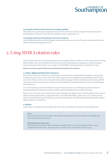#### **Locating the authority information for recordings and films**

This information can be found on the back of the CD, DVD or VHS case. If they are digital downloads, check the download site or the artist's own website for publisher details, release dates, etc.

#### **Locating the authority information for electronic resources**

Use the official web address which will appear automatically at the top of your web browser. Include both the home address and the specific page referred to.

### 2. Using MHRA citation rules

The remainder of this section contains information and examples of how to reference a wide range of resources using MHRA citation rules. For full details of all of the rules of this referencing style, and guidance on referencing any resources that are not shown here, you can refer to the full MHRA style guide which is available for free here:

**<http://www.mhra.org.uk/Publications/Books/StyleGuide/download.shtml>**

#### **2.1 Paper, digital and electronic resources**

Many of your references are likely to come from paper resources, such as printed books, newspapers and journals, or digital resources such as CDs or DVDs. Recent years have also seen a rapid growth in publishing on the Internet. As a result references to electronic resources such as online newspaper archives, websites such as Youtube, and PDF copies of journals are now common. As such, you will probably find yourself wanting to cite sources found through this medium too.

As a word of warning, researchers should exercise the same discretion in considering the quality and value of material published on the Internet as they would for material published by more traditional means.

References to electronic sources should be the same as the paper and digital sources with the addition of the internet address within angle brackets e.g.<[http://news.bbc.co.uk/1/hi/world/middle\\_east/8271990.stm>](http://news.bbc.co.uk/1/hi/world/middle_east/8271990.stm) and the date the site was accessed within square brackets e.g. [accessed 24 September]. The following will provide examples of paper, digital and electronic references.

#### **2.2 Books**

Author Name, *Title of Book in Italics: Subtitle after Colon* (Place of Publication: Publisher, Date of Publication).

#### **As in:**

Andrew J. Bacevich, *American Empire: The Realities and Consequences of U.S. Diplomacy* (Cambridge MA: Harvard University Press, 2002).

#### **E-Book electronic reference:**

William Weiss and Cherie D'Mello, *Fundamentals of Model Theory* (Toronto: Topology Atlas, 2000) in 'mathematics books online', <[http://at.yorku.ca/i/a/a/i/10.htm>, \[ac](http://at.yorku.ca/i/a/a/i/10.htm)cessed 10 January 2009].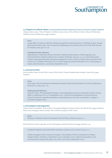#### **2.3 Chapters in edited volume (as in a book which contains a collection of essays or articles by a number of authors)**

Chapter author name, 'Title of Chapter', in Editor/s name, (ed./s), *Title of Volume in Italics* (Place of Publication: Publisher, Date of Publication), page numbers.

#### **As in:**

George Miles, 'To Hear an Old Voice: Rediscovering Native American History', in William Cronon, George Miles and Jay Gitlin, (eds), *Under an Open Sky: Rethinking America's Western Past* (New York: W.W. Norton & Company, 1992), pp. 100–125.

#### **E-Book electronic reference:**

Najah Manasra, 'Palestinian Women: Between Tradition and Revolution', in Ebba Augustin, (ed.), *Palestinian Women: Identity and Experience* (London: Zed Books, 1993), pp. 22–42, in ACLS Humanities [E-Book, <http://quod.lib.umich.edu/cgi/t/text/pageviewer-idx?c=acls;cc=acls;rgn=full%20text;idno=heb](http://quod.lib.umich.edu/cgi/t/text/pageviewer-idx?c=acls;cc=acls;rgn=full%20text;idno=heb04678.0001.001;didno=heb04678.0001.001;view=image;seq=4;node=heb04678.0001.001%3A1;page=root;size=s;frm=frameset) 04678.0001.001;didno=heb04678.0001.001;view=image;seq=4;node=heb04678.0001.001%3A1;page=ro ot;size=s;frm=frameset;>, [accessed 23 September 2009].

#### **2.4 Journal articles**

Article Author Name, 'Article Title', *Journal Title in Italics*, Volume Number/Issue Number (Issue Year), page numbers.

#### **As in:**

Neil Gregor, 'The Normalization of Barbarism: Daimler-Benz in the Third Reich', *The Journal of Holocaust Education*, 6.3 (1997), pp. 1–20.

#### **Online journal reference:**

Richard N. Hass, 'The Squandered Presidency: Demanding More from the Commander in Chief', *Foreign Affairs 79* (May/June 2000), in 'foreignaffairs.com', < [http://www.foreignaffairs.com/articles/5606](http://www.foreignaffairs.com/articles/56061/richard-n-haass/the-squandered-presidency-demanding-more-from-the-commander-in-c?page=2)1/ [richard-n-haass/the-squandered-presidency-demanding-more-from-the-commander-in-c?page=2](http://www.foreignaffairs.com/articles/56061/richard-n-haass/the-squandered-presidency-demanding-more-from-the-commander-in-c?page=2)>, [accessed 25 August 2009].

#### **2.5 Newspapers and magazines**

Author Name (if available), 'Title of Story', Newspaper/Magazine Name in Italics, Day Month Year, page number(s). Please note newspaper names exclude 'The', with the exception of The Times.

#### **As in:**

Thomas L. Friedman, 'Dear Dr Greenspan', *New York Times*, 9 February 1997, p. 11.

If the reference is from a specific section of the paper, include that before the page reference, e.g.

Jonathan Friedland, 'Across the Divide', *Guardian*, 15 January 2002, section G2, pp. 10–11.

Online newspaper archive: Damian Carrington, 'China Makes it's First Commitment to Climate Change Targets', *Guardian*, 22 September 2009, in 'guardian.co.uk', <[http://www.guardian.co.uk/](http://www.guardian.co.uk/environment/2009/sep/22/hu-jintao-new-york1) [environment/2009/sep/22/hu-jintao-new-york1>, \[ac](http://www.guardian.co.uk/environment/2009/sep/22/hu-jintao-new-york1)cessed 22 September 2009].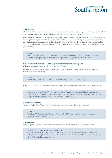#### **2.6 Websites**

The internet offers a huge variety of resources for research. Refer to *Learn, discover, develop & create. University of Southampton guide to research* for subject specific guidance on a selection of reliable websites.

When referring to information from a website, you should refer to the title of the article or section of the website you are using, the home page web address of the website, and the specific link to the page(s) you are using. Include the date the information was published on the website, if you know it. You must also note down when you accessed the page, e.g.: 'Title of Work', in 'Home Address of Website', <internet address from browser>, Date published if available, [date accessed].

#### **As in:**

'Alcohol and Sexual Health', in 'ipsos-mori.com', <[http://www.ipsos-mori.com/researchpublication](http://www.ipsos-mori.com/researchpublications/researcharchive/poll.aspx?oItemId=2472)s/ [researcharchive/poll.aspx?oItemId=2472](http://www.ipsos-mori.com/researchpublications/researcharchive/poll.aspx?oItemId=2472)>, 17 September 2009, [accessed 20 September 2009].

#### **2.7 Government, corporate and non-government organisation reports**

If the reports are published, they should be set out as follows:

Author(s) if available, 'Title of Report', Government Department/Corporate Body/NGO (Place of Publication: Publisher, Date of Publication).

#### **As in:**

'Annual Report and Accounts 2008–09', HM Treasury (Norwich: TSO, July 2009).

If they are online reports, follow the above rules, but include the online reference as explained for websites, e.g.

Stephen Roe and Jane Ashe, 'Young People and Crime: Findings from the 2006 Offending, Crime and Justice Survey', Home Office Statistical Bulletin, in 'homeoffice.gov.uk', <[http://www.homeoffice.gov.uk/](http://www.homeoffice.gov.uk/rds/pdfs08/hosb0908.pdf) [rds/pdfs08/hosb0908.pdf>, 15](http://www.homeoffice.gov.uk/rds/pdfs08/hosb0908.pdf) July 2008, [accessed 26 June 2009].

#### **2.8 Online databases**

Author of Work, 'Title of Work', in Name of Database <url address of database> [date accessed].

#### **As in:**

Kent Bach, 'Performatives', in *Routledge Encyclopedia of Philosophy* <[http://www.rep.routledge.com>](http://www.rep.routledge.com) [accessed 3 October 2001].

#### **2.9 Speeches**

Name of Speaker, 'Title of Speech if known', Location Delivered, Date Delivered, Source Taken From.

#### **For example, a speech referred to from a book:**

George W. Bush, 'A Distinctly American Internationalism', Ronald Reagan Presidential Library, Simi Valley, California, 19 November 1999, in John W. Dietrich, (ed.), *The George W. Bush Foreign Policy Reader* (New York: M.E. Sharpe, 2005), p. 26.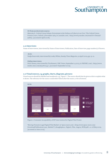#### **Or from an electronic source:**

Malcolm X, 'Oxford Union Debate: Extremism in the Defence of Liberty is no Vice', The Oxford Union, Frewin Court, Oxford, 3 December 1964, in 'youtube.com', [<http://www.youtube.com/watch?v=Dmzaa](http://www.youtube.com/watch?v=Dmzaaf-9aHQ)f-[9aHQ](http://www.youtube.com/watch?v=Dmzaaf-9aHQ)>, [accessed 6 April 2008].

#### **2.10 Interviews**

Name of Interviewee, interviewed by Name of Interviewer, Publication, Date of Interview, page number(s) if known.

#### **As in:**

Nadja Swarovski, interviewed by Lesley White, *Sunday Times Magazine*, 19 April 2009, pp. 13–21.

#### **Online interviews:**

Dick Cheney, interviewed by Tim Russert, NBC News, September 14 2003, in 'MSNBC.com', <[http://www.](http://www.msnbc.msn.com/id/3080244) [msnbc.msn.com/id/3080244/>, \[ac](http://www.msnbc.msn.com/id/3080244)cessed 7 September 2009].

#### **2.11 Visual sources, e.g. graphs, charts, diagrams, pictures**

Visual sources should be labelled and numbered, e.g. 'Figure 1'. The source should also be given a title to explain what it shows. The reference for the source could either follow after the source, or be a footnote.



Figure 1: Consumer Acceptability of ISP Intervention for Digital Film Pirates

'Moving Toward a Legal Digital Film Market', in 'ipsos-mori.com', <[http://www.ipsos-mori.com](http://www.ipsos-mori.com/DownloadPublication/1292_MediaCT_thoughtpiece_Digital_Film_Aug09_WEB.pdf)/ [DownloadPublication/1292\\_MediaCT\\_thoughtpiece\\_Digital\\_Film\\_Aug09\\_WEB.pdf](http://www.ipsos-mori.com/DownloadPublication/1292_MediaCT_thoughtpiece_Digital_Film_Aug09_WEB.pdf)>, 12–18 May 2009, [accessed 20 June 2009].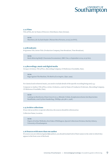

#### **2.12 Films**

*Title of Film*, dir. by Name of Director (Distributor, Date) [format].

**As in:** *Watchmen*, dir. by Zack Snyder (Warner Bros Pictures, 2009) [on DVD].

#### **2.13 Broadcasts**

*Programme Title*, Series Title (Production Company, Date Broadcast, Time Broadcast).

**As in:** *Banks Behaving Badly?*, Panorama Documentary (BBC One, 21 September 2009, 20:30 hrs).

#### **2.14 Recordings, music and digital media**

Group or Artist(s), *Title of Piece*, (Recording Company, CD Reference if available, Date).

**As in:**

```
Rage Against The Machine, The Battle of Los Angeles, (Epic, 1999).
```
For classical and orchestral music, you need to include details of the specific recording being used, e.g.:

Composer or Author, *Title of Piece*, Artist, Orchestra, cond. by Name of Conductor if relevant, (Recording Company, CD Reference if available, Date).

#### **As in:**

Ludwig van Beethoven, *Piano Concerto no. 5*, Mitsuko Uchida, Symphonieorchester des Bayerischen Rundfunks, cond. by Kurt Sanderling, (Phillips, 462 586-2, 1998).

#### **2.15 Archive collections**

If you visit an archive or special collection, the sources should be referenced as:

Collection Name, Location.

#### **As in:**

Papers of Arthur Wellesley, first Duke of Wellington, Special Collections Division, Hartley Library, University of Southampton.

#### **2.16 Sources with more than one author**

If a source you are referencing has **two** authors, you should include both of their names in the order in which they appear in the front cover of the book.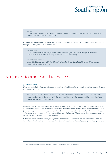#### **As in:**

Timothy J. Lynch and Robert S. Singh, *After Bush: The Case for Continuity in American Foreign Policy* (New York: Cambridge University Press, 2008).

If a source has **three or more** authors, write the first author's name followed by 'et al.'. This is an abbreviation of the Latin phrase et alii, which means 'and others'.

#### **So this book:**

Alvin Z. Rubinstein, Albina Shayevich and Boris Zlotnikov, (eds), *The Clinton Foreign Policy Reader: Presidential Speeches with Commentary* (New York: M.E. Sharpe, 2000).

#### **Should be referenced:**

Alvin Z. Rubinstein et al., (eds), *The Clinton Foreign Policy Reader: Presidential Speeches with Commentary* (New York: M.E. Sharpe, 2000).

### 3. Quotes, footnotes and references

#### **3.1 Short quotes**

If you want to include a short quote from any source then it should be enclosed in single quotation marks, and run on with the main text, e.g.:

The historian Eric Hobsbawn has described George W. Bush's excessively militaristic policies as 'hard to understand' since they do not fit in with the 'long-tested imperial policies developed during the Cold War, nor the interest of the U.S. economy'. <sup>1</sup>

A quote like this will require a reference to identify the source it has come from. In the MHRA referencing style, this is done with a footnote. Insert the footnote at the end of the sentence after the final punctuation mark and full stop (check the Help menu on your word processor if you do not know how to add footnotes). A small number will appear at the end of the quote (see above), and a space will appear at the bottom of the page. Add the appropriate reference for the type of source used in this space (see below).

If the quote is from a written source, the page number should also be added to show from where in the source you have taken it. This is indicated by a lower case 'p' with a full stop after it, followed by a space, then the page number.

<sup>1</sup> Eric Hobsbawn, *Globalization, Democracy and Terrorism* (London: Little Brown, 2007), p. 161.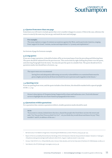#### **3.2 Quotes from more than one page**

Sometimes you will want to include quotes that cover a number of pages in a source. If this is the case, reference the source in exactly the same way, but use pp. and mark the start and end page.

#### **For example:**

The essay explores a range of common accusations against the West, and in particular America, ranging from 'support for Israel', 'sexism, racism and imperialism' to 'tyranny and exploitation'.<sup>2</sup>

See bottom of page for footnote example.

#### **3.3 Long quotes**

If you use a longer quotation, it should be broken off by an increased space from the preceding and following lines. The quote should be indented from the previous text. This can be done by right clicking the pointer over the quote, and selecting Paragraph from the menu. You may also put the quote in a smaller font. The quote should not be in quotation marks, but should have a footnote, e.g.:

The report went on to recommend:

Saving lives and adequately addressing our security vulnerabilities on a sustained basis must be given a higher priority by all those involved if we are to prevent such tragedies in the future. <sup>3</sup>

#### **3.4 Quoting verse**

If you are quoting from verse, and the quote includes a line division, this should be marked with a spaced upright stroke ( | ), e.g.:

Horace's description of Cleopatra being 'Supported by a base and loathsome crew | Foul with disease' serves to highlight the use of anti-Eastern propaganda in his verses. <sup>4</sup>

#### **3.5 Quotations within quotations**

For a quotation that contains a quotation within it, double quotation marks should be used:

#### **As in:**

'If you went to a home, kicked down the door, chased the people who lived there out into the street and said, "Go! You are free! Free as a bird! Go! Go!" - do you think they would shout and dance for joy? They wouldn't' said Pi, in defence of the zoo. <sup>5</sup>

- <sup>4</sup> Horace, 'Ode XXXVII', in G.J. Whyte Melville, (ed.), Horace: Odes, Epodes, and Carmen Saeculare (Charleston SC: Bibliobazaar, 2008), p. 27.
- Yann Martel, Life of Pi (Edinburgh: Canongate, 2002), p. 36.

<sup>2</sup> Bernard Lewis, From Babel to Dragomans: Interpreting the Middle East (London: Phoenix, 2005), pp. 397–413.

<sup>3</sup> Report of the Accountability Review Boards, 'Bombings of the US Embassies in Nairobi, Kenya and Dar Es Salaam, Tanzania', in 'state.gov', <[http://www.state.gov/www/regions/africa/board\\_letter.htm](http://www.state.gov/www/regions/africa/board_letter.html)l>, August 7 1998, [accessed 17 July 2009].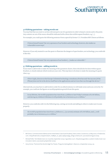#### **3.6 Editing quotations – taking words out**

You may find that you want to cut less relevant parts out of a quotation in order to keep it concise and to the point. Any content cut out of the source should be indicated with a three dots within square brackets, e.g. [...].

For example, you could quote the following sentence from a speech by former U.S. President Bill Clinton as follows:

Clinton himself stated 'the very openness of our borders and technology, however, also makes us vulnerable in new ways'.

However, if you only wanted to use the quote to illustrate the dangers of open borders, not technology, you could edit it like this:

Clinton himself stated 'the very openness of our borders […] makes us vulnerable'. <sup>6</sup>

#### **3.7 Editing quotations – adding words in**

If you want to add words to make the meaning of the quotation clearer, these should also be done within square brackets, to clearly indicate which words are your own. This may have to be done to make the meaning of a quote clear, e.g.:

Oliver Gajda, director at the Europe Unlimited technology consultancy firm has said 'the success [of the iPhone] does not lie in the device itself but in the applications and services that run through the device'.<sup>7</sup>

Alternatively, you may have to add words in order for an edited sentence to still make sense and scan correctly. For example, you could use the figures on world population growth from this quote:

In my lifetime, the world's population has risen from 2.5 billion to last Friday's estimate of 6.787 billion, and during my children's lifetimes it will probably rise to between 9.5 to 10 billion.<sup>8</sup>

However, you could also edit it in the following way, cutting out words and adding in others to make sure it scans properly:

the world's population has risen from 2.5 billion to [...] [a current] estimate of 6.787 billion, and [...] will probably rise to between 9.5 to 10 billion. <sup>8</sup>

<sup>6</sup> Bill Clinton, 'Commencement Address at the United States Coast Guard Academy', New London, Connecticut, 22 May 2000, in 'findarticles. com', <[http://findarticles.com/p/articles/mi\\_m2889/is\\_20\\_36/ai\\_63693079/pg\\_2/?tag=content;c](http://findarticles.com/p/articles/mi_m2889/is_20_36/ai_63693079/pg_2/?tag=content)ol1>, [accessed 26 August 2009].

<sup>7</sup> Michael Pollitt, 'Tech Media Invest 100', *Guardian*, September 2009, in 'guardian.co.uk', <[http://www.guardian.co.uk/tech-media-invest-100/](http://www.guardian.co.uk/tech-media-invest-100/innovation-nation) [innovation-nation>, \[ac](http://www.guardian.co.uk/tech-media-invest-100/innovation-nation)cessed 24 September 2009].

<sup>8</sup> Henry Porter, 'The End of the World Is Nigh? No Thanks, Things Are Getting Better', *Observer*, 27 September 2009, p. 29.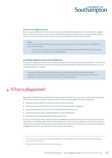#### **3.8 Errors in original sources**

If you are quoting from a source that has an error in it, you should identify that this error is present in the original source, and is not a typing error on your part. This is done by adding an italicised sic into square brackets, e.g. [sic], after the error. Sic is Latin for 'thus', and is basically a way of saying 'don't blame me for the error'.

#### **As in:**

Bush's Vice-President Dick Cheney summed up the impact of 9/11 on the administration on MSNBC two years after the attacks:

9/11 changed everything. It changed the way we think about threats to the United States. It changed [sic] about our recognition of our vulnerabilities.<sup>9</sup>

#### **3.9 Adding emphasis to key words and phrases**

If you want to emphasise a specific word or phrase in a quote to reinforce your point, you can italicise it. If you do this, you should state the fact that you have done so by putting 'emphasis added' in brackets after the italicised word, e.g. (emphasis added). For example:

'You can build the best ethical rules and AI in the world' says Noel Sharky, professor of artificial intelligence and robotics at the University of Sheffield, 'but if a robot can't accurately sense external information, those systems are *no use whatsoever* (emphasis added)'.<sup>10</sup>

### 4. What is plagiarism?

Plagiarism is the deliberate presentation of another person's work as if it were your own, without acknowledgement of from where it has come. Quite a range of activities can be classed as plagiarism. Some examples are:

- Handing in another student's work without that student's knowledge
- Copying an essay or some text from a source text without proper acknowledgement
- Paraphrasing materials from a source text without appropriate referencing
- Using someone else's ideas or arguments without acknowledging them
- • Handing in material downloaded directly from the Internet

If you use other people's words, diagrams or ideas, you **must** acknowledge them by referencing them in the text and citing them in your bibliography. Far from being a sign of poor work, you are proving that you have read around your subject and are familiar with the major theories and ideas. Provided you have done this correctly and accurately, you will **gain** marks by referring to the work of other writers and academics.

<sup>9</sup> Dick Cheney, interview by Tim Russert, NBC News, September 14 2003, in 'MSNBC.com', <[http://www.msnbc.msn.com/id/30802](http://www.msnbc.msn.com/id/3080244)44/>, [accessed 7 September 2009].

<sup>10</sup> Mark Harris, 'Rise of the Machines', *Focus*, June 2009, pp. 23–29.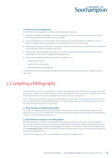#### **4.1 How do you avoid plagiarism?**

Listed below are some suggestions to help you avoid plagiarism in your work:

- • Plagiarism often begins unwittingly at the note-making stage. Try to write your notes in your own words, rather than copying them directly from the text you are reading
- • Be sure to distinguish in your notes between direct quotes and your own paraphrases. Use different colours, or divide your page up with quotes and references on the left and your own notes on the right
- • When you are putting a direct quotation in your notes, write down the reference to it at the same time. This will also save you having to look these up again at a later date
- • Always include a full bibliography with all pieces of written work, including both background reading and cited texts and other resources (see Compiling a bibliography below)
- • Avoid cosmetic changes to other people's work. For example, do not:
	- substitute similar words
	- reverse the order of a sentence
	- alter a spread sheet layout/graph type

You should be aware that the penalties for plagiarism are usually very severe and could lead to disqualification of your work.

### 5. Compiling a bibliography

Once you have written your essay, dissertation or thesis, and quoted and cited your references, you must ensure that you include a complete record of all the sources you have read and quoted. This serves to give a complete picture of all the primary evidence and secondary reading you have used to construct your argument.

It is best to keep a second word processed document listing a correctly cited record of every resource you use. In this way, you will find that writing the bibliography at the conclusion of your main text is a very easy process, as you will have done the bulk of the work as you went along.

#### **5.1 What should your bibliography include?**

Very simply, your bibliography should include all the resources you have used to complete your assignment. This means both resources you have referred to in the text of your document and also relevant background materials that you have used, but not necessarily discussed.

#### **5.2 How should you organise your bibliography?**

Most bibliographies are straight-forward alphabetical arrangements by authors' surnames. In some disciplines, however, you may find it is customary to sub-divide the bibliography into smaller categories based upon the types of sources. This could simply be splitting the bibliography into primary and secondary sources (see the academic skills guide *Navigating the page* for further information on primary and secondary sources), or a more detailed division of sources based upon their types.

Check with your supervisor or the course handbook to see if there is a preferred style.